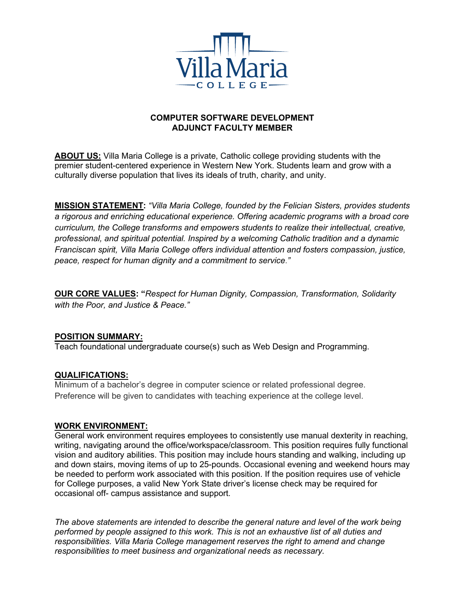

## **COMPUTER SOFTWARE DEVELOPMENT ADJUNCT FACULTY MEMBER**

**ABOUT US:** Villa Maria College is a private, Catholic college providing students with the premier student-centered experience in Western New York. Students learn and grow with a culturally diverse population that lives its ideals of truth, charity, and unity.

**MISSION STATEMENT:** *"Villa Maria College, founded by the Felician Sisters, provides students a rigorous and enriching educational experience. Offering academic programs with a broad core curriculum, the College transforms and empowers students to realize their intellectual, creative, professional, and spiritual potential. Inspired by a welcoming Catholic tradition and a dynamic Franciscan spirit, Villa Maria College offers individual attention and fosters compassion, justice, peace, respect for human dignity and a commitment to service*.*"*

**OUR CORE VALUES: "***Respect for Human Dignity, Compassion, Transformation, Solidarity with the Poor, and Justice & Peace."*

### **POSITION SUMMARY:**

Teach foundational undergraduate course(s) such as Web Design and Programming.

### **QUALIFICATIONS:**

Minimum of a bachelor's degree in computer science or related professional degree. Preference will be given to candidates with teaching experience at the college level.

#### **WORK ENVIRONMENT:**

General work environment requires employees to consistently use manual dexterity in reaching, writing, navigating around the office/workspace/classroom. This position requires fully functional vision and auditory abilities. This position may include hours standing and walking, including up and down stairs, moving items of up to 25-pounds. Occasional evening and weekend hours may be needed to perform work associated with this position. If the position requires use of vehicle for College purposes, a valid New York State driver's license check may be required for occasional off- campus assistance and support.

*The above statements are intended to describe the general nature and level of the work being performed by people assigned to this work. This is not an exhaustive list of all duties and responsibilities. Villa Maria College management reserves the right to amend and change responsibilities to meet business and organizational needs as necessary.*